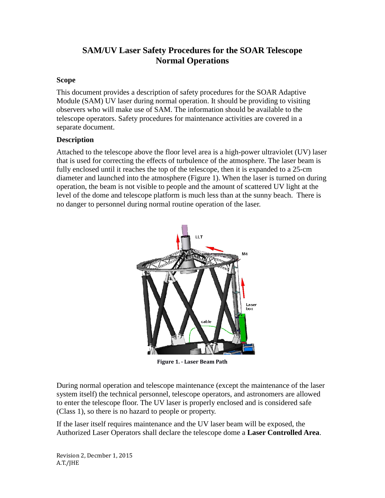# **SAM/UV Laser Safety Procedures for the SOAR Telescope Normal Operations**

### **Scope**

This document provides a description of safety procedures for the SOAR Adaptive Module (SAM) UV laser during normal operation. It should be providing to visiting observers who will make use of SAM. The information should be available to the telescope operators. Safety procedures for maintenance activities are covered in a separate document.

### **Description**

Attached to the telescope above the floor level area is a high-power ultraviolet (UV) laser that is used for correcting the effects of turbulence of the atmosphere. The laser beam is fully enclosed until it reaches the top of the telescope, then it is expanded to a 25-cm diameter and launched into the atmosphere (Figure 1). When the laser is turned on during operation, the beam is not visible to people and the amount of scattered UV light at the level of the dome and telescope platform is much less than at the sunny beach. There is no danger to personnel during normal routine operation of the laser.



**Figure 1. - Laser Beam Path**

During normal operation and telescope maintenance (except the maintenance of the laser system itself) the technical personnel, telescope operators, and astronomers are allowed to enter the telescope floor. The UV laser is properly enclosed and is considered safe (Class 1), so there is no hazard to people or property.

If the laser itself requires maintenance and the UV laser beam will be exposed, the Authorized Laser Operators shall declare the telescope dome a **Laser Controlled Area**.

Revision 2, Decmber 1, 2015 A.T./JHE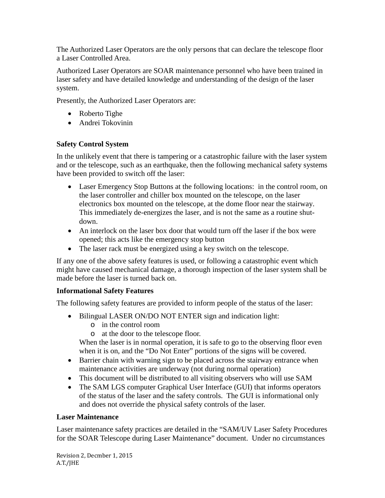The Authorized Laser Operators are the only persons that can declare the telescope floor a Laser Controlled Area.

Authorized Laser Operators are SOAR maintenance personnel who have been trained in laser safety and have detailed knowledge and understanding of the design of the laser system.

Presently, the Authorized Laser Operators are:

- Roberto Tighe
- Andrei Tokovinin

## **Safety Control System**

In the unlikely event that there is tampering or a catastrophic failure with the laser system and or the telescope, such as an earthquake, then the following mechanical safety systems have been provided to switch off the laser:

- Laser Emergency Stop Buttons at the following locations: in the control room, on the laser controller and chiller box mounted on the telescope, on the laser electronics box mounted on the telescope, at the dome floor near the stairway. This immediately de-energizes the laser, and is not the same as a routine shutdown.
- An interlock on the laser box door that would turn off the laser if the box were opened; this acts like the emergency stop button
- The laser rack must be energized using a key switch on the telescope.

If any one of the above safety features is used, or following a catastrophic event which might have caused mechanical damage, a thorough inspection of the laser system shall be made before the laser is turned back on.

### **Informational Safety Features**

The following safety features are provided to inform people of the status of the laser:

- Bilingual LASER ON/DO NOT ENTER sign and indication light:
	- o in the control room
	- o at the door to the telescope floor.

When the laser is in normal operation, it is safe to go to the observing floor even when it is on, and the "Do Not Enter" portions of the signs will be covered.

- Barrier chain with warning sign to be placed across the stairway entrance when maintenance activities are underway (not during normal operation)
- This document will be distributed to all visiting observers who will use SAM
- The SAM LGS computer Graphical User Interface (GUI) that informs operators of the status of the laser and the safety controls. The GUI is informational only and does not override the physical safety controls of the laser.

### **Laser Maintenance**

Laser maintenance safety practices are detailed in the "SAM/UV Laser Safety Procedures for the SOAR Telescope during Laser Maintenance" document. Under no circumstances

Revision 2, Decmber 1, 2015 A.T./JHE